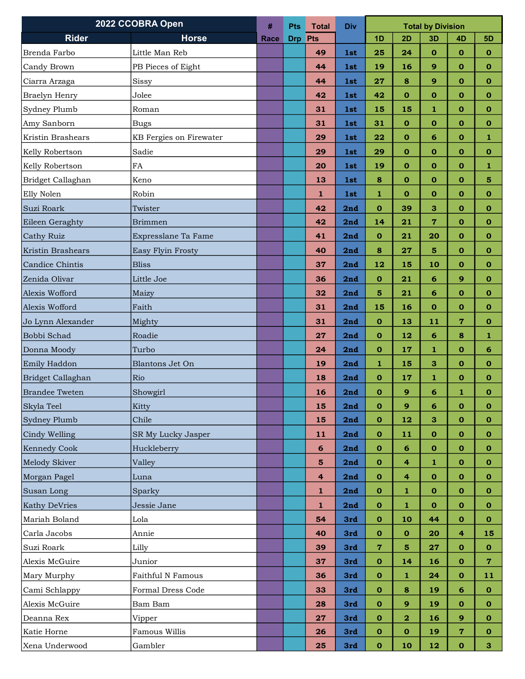| 2022 CCOBRA Open      |                         | #    | <b>Pts</b> | <b>Total</b>            | <b>Div</b> | <b>Total by Division</b> |                         |                |                |                |
|-----------------------|-------------------------|------|------------|-------------------------|------------|--------------------------|-------------------------|----------------|----------------|----------------|
| <b>Rider</b>          | <b>Horse</b>            | Race | <b>Drp</b> | Pts                     |            | 1D                       | 2D                      | 3D             | 4D             | <b>5D</b>      |
| Brenda Farbo          | Little Man Reb          |      |            | 49                      | 1st        | 25                       | 24                      | $\mathbf 0$    | $\mathbf 0$    | $\mathbf 0$    |
| Candy Brown           | PB Pieces of Eight      |      |            | 44                      | 1st        | 19                       | 16                      | 9              | $\bf{0}$       | $\mathbf 0$    |
| Ciarra Arzaga         | Sissy                   |      |            | 44                      | 1st        | 27                       | 8                       | 9              | $\mathbf 0$    | $\mathbf 0$    |
| Braelyn Henry         | Jolee                   |      |            | 42                      | 1st        | 42                       | $\mathbf 0$             | $\bf{0}$       | $\bf{0}$       | $\mathbf 0$    |
| Sydney Plumb          | Roman                   |      |            | 31                      | 1st        | 15                       | 15                      | 1              | $\mathbf 0$    | $\mathbf 0$    |
| Amy Sanborn           | <b>Bugs</b>             |      |            | 31                      | 1st        | 31                       | $\mathbf{o}$            | $\mathbf{o}$   | $\bf{0}$       | $\mathbf{o}$   |
| Kristin Brashears     | KB Fergies on Firewater |      |            | 29                      | 1st        | 22                       | $\mathbf o$             | 6              | $\mathbf 0$    | 1              |
| Kelly Robertson       | Sadie                   |      |            | 29                      | <b>1st</b> | 29                       | $\mathbf 0$             | $\mathbf 0$    | $\mathbf 0$    | $\mathbf{o}$   |
| Kelly Robertson       | FA                      |      |            | 20                      | 1st        | 19                       | $\mathbf{o}$            | $\mathbf{O}$   | $\mathbf 0$    | $\bf{1}$       |
| Bridget Callaghan     | Keno                    |      |            | 13                      | 1st        | 8                        | $\mathbf{o}$            | $\mathbf 0$    | $\bf{0}$       | 5              |
| Elly Nolen            | Robin                   |      |            | 1                       | 1st        | 1                        | $\bf{O}$                | $\bf{0}$       | 0              | $\mathbf 0$    |
| Suzi Roark            | Twister                 |      |            | 42                      | 2nd        | $\mathbf{o}$             | 39                      | 3              | $\mathbf 0$    | $\mathbf 0$    |
| Eileen Geraghty       | <b>Brimmen</b>          |      |            | 42                      | 2nd        | 14                       | 21                      | $\overline{7}$ | $\mathbf 0$    | $\mathbf{o}$   |
| Cathy Ruiz            | Expresslane Ta Fame     |      |            | 41                      | 2nd        | $\mathbf 0$              | 21                      | 20             | $\mathbf 0$    | $\mathbf{o}$   |
| Kristin Brashears     | Easy Flyin Frosty       |      |            | 40                      | 2nd        | 8                        | 27                      | 5              | $\mathbf 0$    | 0              |
| Candice Chintis       | <b>Bliss</b>            |      |            | 37                      | 2nd        | 12                       | 15                      | 10             | $\mathbf 0$    | $\mathbf{o}$   |
| Zenida Olivar         | Little Joe              |      |            | 36                      | 2nd        | $\mathbf 0$              | 21                      | 6              | 9              | $\mathbf 0$    |
| Alexis Wofford        | Maizy                   |      |            | 32                      | 2nd        | $5\phantom{1}$           | 21                      | 6              | $\bf{0}$       | $\mathbf{o}$   |
| Alexis Wofford        | Faith                   |      |            | 31                      | 2nd        | 15                       | 16                      | $\mathbf 0$    | $\mathbf 0$    | $\mathbf{o}$   |
| Jo Lynn Alexander     | Mighty                  |      |            | 31                      | 2nd        | $\mathbf{o}$             | 13                      | 11             | $\overline{7}$ | $\mathbf{o}$   |
| Bobbi Schad           | Roadie                  |      |            | 27                      | 2nd        | $\mathbf{o}$             | 12                      | 6              | 8              | 1              |
| Donna Moody           | Turbo                   |      |            | 24                      | 2nd        | $\mathbf 0$              | 17                      | 1              | $\bf{0}$       | 6              |
| Emily Haddon          | Blantons Jet On         |      |            | 19                      | 2nd        | 1                        | 15                      | 3              | $\mathbf 0$    | 0              |
| Bridget Callaghan     | Rio                     |      |            | 18                      | 2nd        | $\mathbf 0$              | 17                      | 1              | $\mathbf 0$    | $\mathbf{o}$   |
| <b>Brandee Tweten</b> | Showgirl                |      |            | 16                      | 2nd        | $\mathbf 0$              | $\overline{9}$          | 6              | 1              | $\mathbf o$    |
| Skyla Teel            | Kitty                   |      |            | 15                      | 2nd        | 0                        | 9                       | 6              | $\bf{0}$       | $\bf{0}$       |
| Sydney Plumb          | Chile                   |      |            | 15                      | 2nd        | $\mathbf{o}$             | 12                      | 3              | $\mathbf 0$    | $\mathbf{o}$   |
| Cindy Welling         | SR My Lucky Jasper      |      |            | 11                      | 2nd        | $\mathbf 0$              | 11                      | $\mathbf 0$    | $\mathbf 0$    | $\mathbf 0$    |
| <b>Kennedy Cook</b>   | Huckleberry             |      |            | $6\phantom{1}6$         | 2nd        | $\mathbf{o}$             | 6                       | $\mathbf 0$    | $\mathbf 0$    | $\mathbf{o}$   |
| Melody Skiver         | Valley                  |      |            | $\overline{\mathbf{5}}$ | 2nd        | $\mathbf 0$              | 4                       | $\mathbf{1}$   | $\mathbf{o}$   | $\mathbf 0$    |
| Morgan Pagel          | Luna                    |      |            | 4                       | 2nd        | $\mathbf{o}$             | 4                       | 0              | $\mathbf o$    | $\mathbf{o}$   |
| Susan Long            | Sparky                  |      |            | $\mathbf{1}$            | 2nd        | $\mathbf 0$              | $\mathbf 1$             | $\mathbf 0$    | $\mathbf 0$    | $\mathbf 0$    |
| <b>Kathy DeVries</b>  | Jessie Jane             |      |            | $\mathbf{1}$            | 2nd        | $\mathbf 0$              | $\mathbf{1}$            | $\bf o$        | $\mathbf{o}$   | $\mathbf{o}$   |
| Mariah Boland         | Lola                    |      |            | 54                      | 3rd        | $\mathbf{o}$             | 10                      | 44             | $\mathbf{o}$   | $\mathbf 0$    |
| Carla Jacobs          | Annie                   |      |            | 40                      | 3rd        | $\bf{0}$                 | $\mathbf{o}$            | 20             | 4              | 15             |
| Suzi Roark            | Lilly                   |      |            | 39                      | 3rd        | $\overline{7}$           | $5\phantom{1}$          | 27             | $\mathbf 0$    | $\mathbf{0}$   |
| Alexis McGuire        | Junior                  |      |            | 37                      | 3rd        | $\mathbf{o}$             | 14                      | 16             | $\mathbf{o}$   | $\overline{7}$ |
| Mary Murphy           | Faithful N Famous       |      |            | 36                      | 3rd        | $\mathbf 0$              | 1                       | 24             | $\mathbf{o}$   | 11             |
| Cami Schlappy         | Formal Dress Code       |      |            | 33                      | 3rd        | $\mathbf{o}$             | 8                       | 19             | 6              | $\mathbf 0$    |
| Alexis McGuire        | Bam Bam                 |      |            | 28                      | 3rd        | $\mathbf 0$              | 9                       | 19             | $\mathbf{o}$   | $\mathbf{o}$   |
| Deanna Rex            | Vipper                  |      |            | 27                      | 3rd        | $\mathbf{o}$             | $\overline{\mathbf{2}}$ | 16             | 9              | $\mathbf{o}$   |
| Katie Horne           | Famous Willis           |      |            | 26                      | 3rd        | $\mathbf{o}$             | $\mathbf 0$             | 19             | 7              | $\mathbf{o}$   |
| Xena Underwood        | Gambler                 |      |            | 25                      | 3rd        | $\mathbf{o}$             | 10                      | 12             | $\mathbf 0$    | 3              |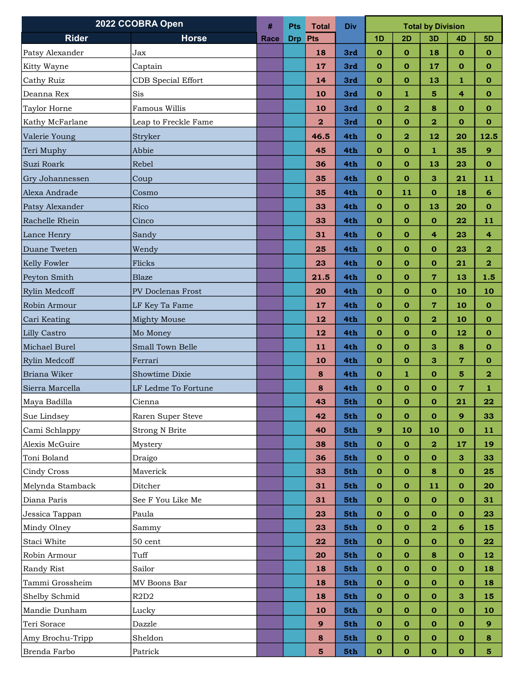| 2022 CCOBRA Open    |                               | #    | <b>Pts</b> | <b>Total</b>            | <b>Div</b> | <b>Total by Division</b> |                         |                         |                |                         |
|---------------------|-------------------------------|------|------------|-------------------------|------------|--------------------------|-------------------------|-------------------------|----------------|-------------------------|
| <b>Rider</b>        | <b>Horse</b>                  | Race | <b>Drp</b> | Pts                     |            | 1D                       | 2D                      | 3D                      | 4D             | 5D                      |
| Patsy Alexander     | Jax                           |      |            | 18                      | 3rd        | $\mathbf 0$              | $\mathbf 0$             | 18                      | $\mathbf{o}$   | $\mathbf{o}$            |
| Kitty Wayne         | Captain                       |      |            | 17                      | 3rd        | $\mathbf 0$              | $\mathbf 0$             | 17                      | $\mathbf 0$    | $\mathbf 0$             |
| Cathy Ruiz          | <b>CDB</b> Special Effort     |      |            | 14                      | 3rd        | $\mathbf 0$              | $\mathbf 0$             | 13                      | 1              | $\mathbf 0$             |
| Deanna Rex          | Sis                           |      |            | 10                      | 3rd        | $\mathbf 0$              | $\mathbf{1}$            | 5                       | 4              | $\bf{0}$                |
| <b>Taylor Horne</b> | Famous Willis                 |      |            | 10                      | 3rd        | $\mathbf 0$              | $\mathbf{2}$            | 8                       | $\mathbf 0$    | $\mathbf{O}$            |
| Kathy McFarlane     | Leap to Freckle Fame          |      |            | $\overline{\mathbf{2}}$ | 3rd        | $\mathbf{o}$             | $\mathbf 0$             | $\bf{2}$                | $\bf{o}$       | $\mathbf 0$             |
| Valerie Young       | Stryker                       |      |            | 46.5                    | 4th        | $\mathbf{o}$             | $\overline{\mathbf{2}}$ | 12                      | 20             | 12.5                    |
| Teri Muphy          | Abbie                         |      |            | 45                      | 4th        | $\mathbf{o}$             | $\mathbf{o}$            | $\mathbf{1}$            | 35             | $\mathbf{9}$            |
| Suzi Roark          | Rebel                         |      |            | 36                      | 4th        | $\mathbf 0$              | $\mathbf 0$             | 13                      | 23             | $\mathbf{O}$            |
| Gry Johannessen     | Coup                          |      |            | 35                      | 4th        | $\mathbf 0$              | $\mathbf o$             | 3                       | 21             | 11                      |
| Alexa Andrade       | Cosmo                         |      |            | 35                      | 4th        | $\mathbf{o}$             | 11                      | $\mathbf 0$             | 18             | 6                       |
| Patsy Alexander     | Rico                          |      |            | 33                      | 4th        | $\mathbf{o}$             | $\mathbf{o}$            | 13                      | 20             | $\mathbf{O}$            |
| Rachelle Rhein      | Cinco                         |      |            | 33                      | 4th        | $\mathbf 0$              | $\mathbf{o}$            | $\mathbf{o}$            | 22             | 11                      |
| Lance Henry         | Sandy                         |      |            | 31                      | 4th        | $\mathbf{o}$             | $\mathbf 0$             | $\overline{\mathbf{4}}$ | 23             | $\overline{\mathbf{4}}$ |
| Duane Tweten        | Wendy                         |      |            | 25                      | 4th        | $\mathbf{o}$             | $\mathbf{o}$            | $\mathbf{o}$            | 23             | $\overline{\mathbf{2}}$ |
| Kelly Fowler        | Flicks                        |      |            | 23                      | 4th        | $\mathbf 0$              | $\mathbf{o}$            | $\mathbf{o}$            | 21             | $\overline{\mathbf{2}}$ |
| Peyton Smith        | Blaze                         |      |            | 21.5                    | 4th        | $\mathbf 0$              | $\mathbf 0$             | $\overline{7}$          | 13             | 1.5                     |
| Rylin Medcoff       | PV Doclenas Frost             |      |            | 20                      | 4th        | $\mathbf 0$              | $\mathbf{o}$            | $\mathbf o$             | 10             | 10                      |
| Robin Armour        | LF Key Ta Fame                |      |            | 17                      | 4th        | $\mathbf{o}$             | $\mathbf{o}$            | $\overline{7}$          | 10             | $\mathbf{o}$            |
| Cari Keating        | Mighty Mouse                  |      |            | 12                      | 4th        | $\mathbf 0$              | $\mathbf{o}$            | $\mathbf{2}$            | 10             | $\mathbf{o}$            |
| <b>Lilly Castro</b> | Mo Money                      |      |            | 12                      | 4th        | $\mathbf 0$              | $\mathbf 0$             | $\mathbf 0$             | 12             | $\mathbf 0$             |
| Michael Burel       | Small Town Belle              |      |            | 11                      | 4th        | $\mathbf{o}$             | $\mathbf 0$             | $\mathbf{3}$            | 8              | $\mathbf{o}$            |
| Rylin Medcoff       | Ferrari                       |      |            | 10                      | 4th        | $\mathbf 0$              | $\mathbf{o}$            | 3                       | $\overline{7}$ | $\mathbf{O}$            |
| Briana Wiker        | Showtime Dixie                |      |            | 8                       | 4th        | $\bf{0}$                 | 1                       | $\mathbf{o}$            | 5              | $\overline{\mathbf{2}}$ |
| Sierra Marcella     | LF Ledme To Fortune           |      |            | 8                       | 4th        | $\mathbf 0$              | $\mathbf{o}$            | $\mathbf 0$             | $\overline{7}$ | 1                       |
| Maya Badilla        | Cienna                        |      |            | 43                      | 5th        | $\mathbf 0$              | $\pmb{0}$               | $\mathbf 0$             | 21             | 22                      |
| Sue Lindsey         | Raren Super Steve             |      |            | 42                      | 5th        | $\bf{0}$                 | $\bf{0}$                | $\mathbf{o}$            | 9              | 33                      |
| Cami Schlappy       | <b>Strong N Brite</b>         |      |            | 40                      | 5th        | 9                        | 10                      | 10                      | $\mathbf o$    | 11                      |
| Alexis McGuire      | Mystery                       |      |            | 38                      | 5th        | $\mathbf{o}$             | $\mathbf 0$             | $\overline{\mathbf{2}}$ | 17             | 19                      |
| Toni Boland         | Draigo                        |      |            | 36                      | 5th        | $\mathbf{o}$             | $\bf{0}$                | $\mathbf 0$             | 3              | 33                      |
| Cindy Cross         | Maverick                      |      |            | 33                      | 5th        | $\mathbf{o}$             | 0                       | 8                       | $\mathbf o$    | 25                      |
| Melynda Stamback    | Ditcher                       |      |            | 31                      | 5th        | $\mathbf{o}$             | $\mathbf{o}$            | 11                      | $\mathbf{o}$   | 20                      |
| Diana Paris         | See F You Like Me             |      |            | 31                      | 5th        | $\mathbf 0$              | $\mathbf{o}$            | $\mathbf{o}$            | $\mathbf o$    | 31                      |
| Jessica Tappan      | Paula                         |      |            | 23                      | 5th        | $\bf{0}$                 | $\bf{0}$                | $\mathbf 0$             | $\mathbf o$    | 23                      |
| Mindy Olney         | Sammy                         |      |            | 23                      | 5th        | $\mathbf{o}$             | $\mathbf{o}$            | $\overline{\mathbf{2}}$ | 6              | 15                      |
| Staci White         | 50 cent                       |      |            | 22                      | 5th        | $\mathbf 0$              | $\mathbf{o}$            | $\mathbf{o}$            | $\bf{0}$       | 22                      |
| Robin Armour        | Tuff                          |      |            | 20                      | 5th        | $\bf{0}$                 | $\bf{0}$                | $\bf8$                  | $\mathbf o$    | 12                      |
| Randy Rist          | Sailor                        |      |            | 18                      | 5th        | $\bf{0}$                 | $\mathbf{o}$            | $\mathbf{o}$            | $\mathbf o$    | 18                      |
| Tammi Grossheim     | MV Boons Bar                  |      |            | 18                      | 5th        | $\mathbf 0$              | $\mathbf{o}$            | $\mathbf 0$             | $\bf{0}$       | 18                      |
| Shelby Schmid       | R <sub>2</sub> D <sub>2</sub> |      |            | <b>18</b>               | 5th        | $\mathbf{o}$             | $\mathbf{o}$            | $\mathbf 0$             | 3              | 15                      |
| Mandie Dunham       | Lucky                         |      |            | 10                      | 5th        | $\mathbf{o}$             | $\mathbf 0$             | 0                       | $\mathbf o$    | 10                      |
| Teri Sorace         | Dazzle                        |      |            | $\mathbf{9}$            | 5th        | $\mathbf{o}$             | $\mathbf{o}$            | $\mathbf{o}$            | $\mathbf{o}$   | $\mathbf{9}$            |
| Amy Brochu-Tripp    | Sheldon                       |      |            | $\bf8$                  | 5th        | $\mathbf{o}$             | $\mathbf{o}$            | $\mathbf 0$             | 0              | 8                       |
| Brenda Farbo        | Patrick                       |      |            | $\overline{\mathbf{5}}$ | 5th        | $\mathbf{o}$             | $\mathbf 0$             | $\mathbf 0$             | $\mathbf o$    | 5 <sub>5</sub>          |